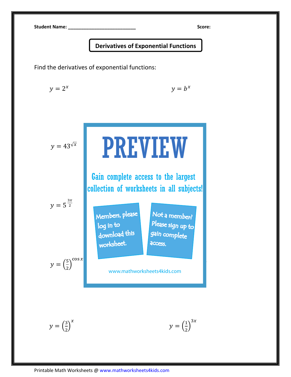